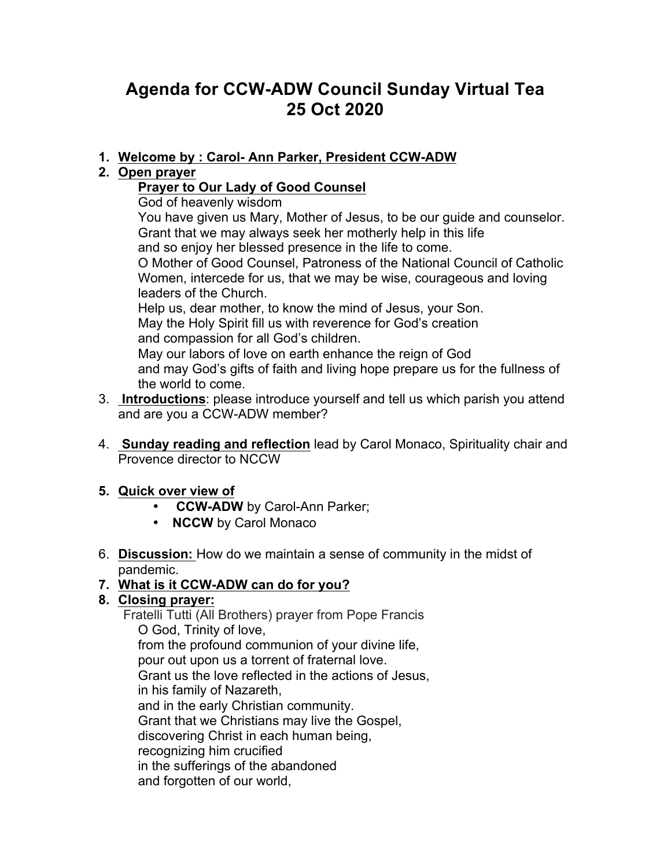# **Agenda for CCW-ADW Council Sunday Virtual Tea 25 Oct 2020**

#### **1. Welcome by : Carol- Ann Parker, President CCW-ADW**

#### **2. Open prayer**

### **Prayer to Our Lady of Good Counsel**

God of heavenly wisdom

You have given us Mary, Mother of Jesus, to be our guide and counselor. Grant that we may always seek her motherly help in this life and so enjoy her blessed presence in the life to come. O Mother of Good Counsel, Patroness of the National Council of Catholic Women, intercede for us, that we may be wise, courageous and loving

leaders of the Church. Help us, dear mother, to know the mind of Jesus, your Son. May the Holy Spirit fill us with reverence for God's creation and compassion for all God's children.

May our labors of love on earth enhance the reign of God and may God's gifts of faith and living hope prepare us for the fullness of the world to come.

- 3. **Introductions**: please introduce yourself and tell us which parish you attend and are you a CCW-ADW member?
- 4. **Sunday reading and reflection** lead by Carol Monaco, Spirituality chair and Provence director to NCCW

#### **5. Quick over view of**

- **CCW-ADW** by Carol-Ann Parker;
- **NCCW** by Carol Monaco
- 6. **Discussion:** How do we maintain a sense of community in the midst of pandemic.

# **7. What is it CCW-ADW can do for you?**

# **8. Closing prayer:**

Fratelli Tutti (All Brothers) prayer from Pope Francis O God, Trinity of love, from the profound communion of your divine life, pour out upon us a torrent of fraternal love. Grant us the love reflected in the actions of Jesus, in his family of Nazareth, and in the early Christian community. Grant that we Christians may live the Gospel, discovering Christ in each human being, recognizing him crucified in the sufferings of the abandoned and forgotten of our world,